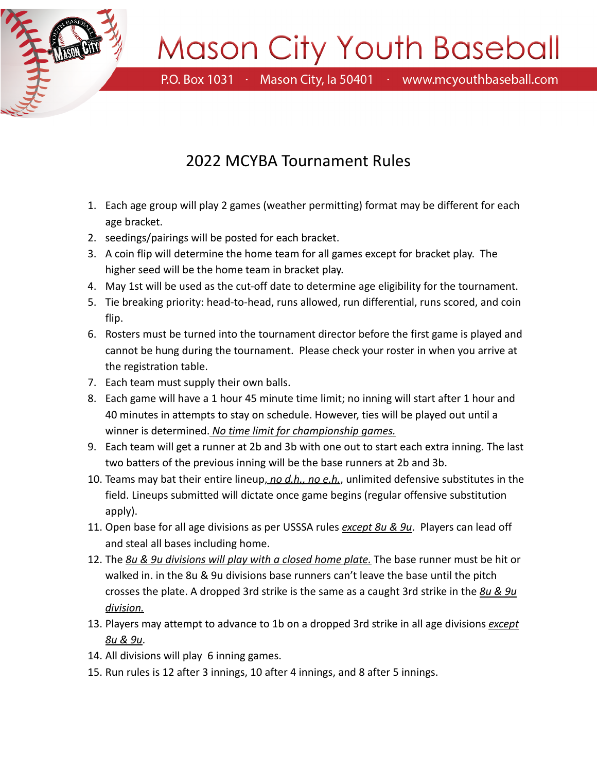

## Mason City Youth Baseball

P.O. Box 1031 · Mason City, la 50401 · www.mcyouthbaseball.com

## 2022 MCYBA Tournament Rules

- 1. Each age group will play 2 games (weather permitting) format may be different for each age bracket.
- 2. seedings/pairings will be posted for each bracket.
- 3. A coin flip will determine the home team for all games except for bracket play. The higher seed will be the home team in bracket play.
- 4. May 1st will be used as the cut-off date to determine age eligibility for the tournament.
- 5. Tie breaking priority: head-to-head, runs allowed, run differential, runs scored, and coin flip.
- 6. Rosters must be turned into the tournament director before the first game is played and cannot be hung during the tournament. Please check your roster in when you arrive at the registration table.
- 7. Each team must supply their own balls.
- 8. Each game will have a 1 hour 45 minute time limit; no inning will start after 1 hour and 40 minutes in attempts to stay on schedule. However, ties will be played out until a winner is determined. *No time limit for championship games.*
- 9. Each team will get a runner at 2b and 3b with one out to start each extra inning. The last two batters of the previous inning will be the base runners at 2b and 3b.
- 10. Teams may bat their entire lineup, *no d.h., no e.h.*, unlimited defensive substitutes in the field. Lineups submitted will dictate once game begins (regular offensive substitution apply).
- 11. Open base for all age divisions as per USSSA rules *except 8u & 9u*. Players can lead off and steal all bases including home.
- 12. The *8u & 9u divisions will play with a closed home plate.* The base runner must be hit or walked in. in the 8u & 9u divisions base runners can't leave the base until the pitch crosses the plate. A dropped 3rd strike is the same as a caught 3rd strike in the *8u & 9u division.*
- 13. Players may attempt to advance to 1b on a dropped 3rd strike in all age divisions *except 8u & 9u*.
- 14. All divisions will play 6 inning games.
- 15. Run rules is 12 after 3 innings, 10 after 4 innings, and 8 after 5 innings.